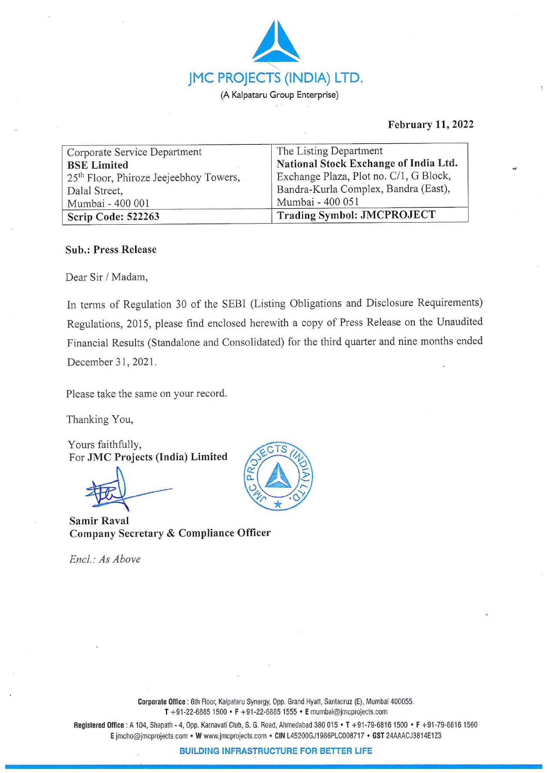

# **February 11, 2022**

| Corporate Service Department                       | The Listing Department                 |
|----------------------------------------------------|----------------------------------------|
| <b>BSE</b> Limited                                 | National Stock Exchange of India Ltd.  |
| 25 <sup>th</sup> Floor, Phiroze Jeejeebhoy Towers, | Exchange Plaza, Plot no. C/1, G Block, |
| Dalal Street,                                      | Bandra-Kurla Complex, Bandra (East),   |
| Mumbai - 400 001                                   | Mumbai - 400 051                       |
| Scrip Code: 522263                                 | <b>Trading Symbol: JMCPROJECT</b>      |

# **Sub.: Press Release**

Dear Sir / Madam,

In terms of Regulation 30 of the SEBI (Listing Obligations and Disclosure Requirements) Regulations, 2015, please find enclosed herewith a copy of Press Release on the Unaudited Financial Results (Standalone and Consolidated) for the third quarter and nine months ended December 31, 2021.

Please take the same on your record.

Thanking You,

Yours faithfully, For **JMC Projects (India) Limited** 

**Samir Raval Company Secretary** & **Compliance Officer** 

*Encl.: As Above* 



**Corporate Office** : 6th Floor, Kalpataru Synergy, Opp. Grand Hyatt, Santacruz (E), Mumbai 400055. **T** +91-22-6885 1500 • **F** +91-22-68851555 • **E** mumbai@jmcprojects.com

**Registered Office :** A 104, Shapath - 4, Opp. Kamavati Club, S. G. Road, Ahmedabad 380 015 • **T** +91-79-6816 1500 • **F** +91 -79-68161560 **E** jmcho@jmcpro]ects.com • **W** www.jmcprojects.com • **CIN** L45200GJ1986PLC008717 • **GST** 24AAACJ3814E1Z3

**BUILDING INFRASTRUCTURE FOR BETTER LIFE**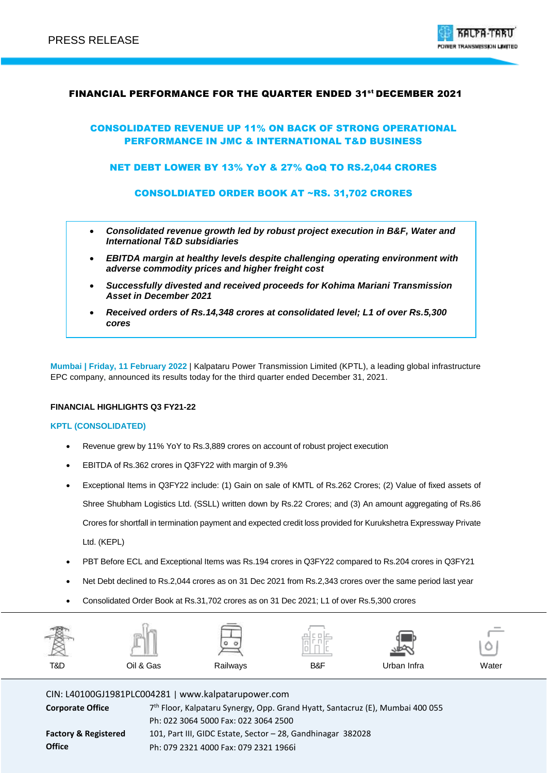

## FINANCIAL PERFORMANCE FOR THE QUARTER ENDED 31<sup>st</sup> DECEMBER 2021

## CONSOLIDATED REVENUE UP 11% ON BACK OF STRONG OPERATIONAL PERFORMANCE IN JMC & INTERNATIONAL T&D BUSINESS

NET DEBT LOWER BY 13% YoY & 27% QoQ TO RS.2,044 CRORES

CONSOLDIATED ORDER BOOK AT ~RS. 31,702 CRORES

- *Consolidated revenue growth led by robust project execution in B&F, Water and International T&D subsidiaries*
- *EBITDA margin at healthy levels despite challenging operating environment with adverse commodity prices and higher freight cost*
- *Successfully divested and received proceeds for Kohima Mariani Transmission Asset in December 2021*
- *Received orders of Rs.14,348 crores at consolidated level; L1 of over Rs.5,300 cores*

**Mumbai | Friday, 11 February 2022** | Kalpataru Power Transmission Limited (KPTL), a leading global infrastructure EPC company, announced its results today for the third quarter ended December 31, 2021.

### **FINANCIAL HIGHLIGHTS Q3 FY21-22**

#### **KPTL (CONSOLIDATED)**

- Revenue grew by 11% YoY to Rs.3,889 crores on account of robust project execution
- EBITDA of Rs.362 crores in Q3FY22 with margin of 9.3%
- Exceptional Items in Q3FY22 include: (1) Gain on sale of KMTL of Rs.262 Crores; (2) Value of fixed assets of Shree Shubham Logistics Ltd. (SSLL) written down by Rs.22 Crores; and (3) An amount aggregating of Rs.86 Crores for shortfall in termination payment and expected credit loss provided for Kurukshetra Expressway Private
	- Ltd. (KEPL)
- PBT Before ECL and Exceptional Items was Rs.194 crores in Q3FY22 compared to Rs.204 crores in Q3FY21
- Net Debt declined to Rs.2,044 crores as on 31 Dec 2021 from Rs.2,343 crores over the same period last year
- Consolidated Order Book at Rs.31,702 crores as on 31 Dec 2021; L1 of over Rs.5,300 crores

| <b>CARL AND CONTROL</b><br>一食<br>率 | I         | ___<br>۰<br>o | $\sim$<br>$-$<br>the contract of<br>$\sim$<br>пΙ<br>sensity.<br>$\sim$ |             | $\frac{1}{2}$<br>◡ |
|------------------------------------|-----------|---------------|------------------------------------------------------------------------|-------------|--------------------|
| T&D                                | Oil & Gas | Railways      | B&F                                                                    | Urban Infra | Water              |

CIN: L40100GJ1981PLC004281 | www.kalpatarupower.com

| <b>Corporate Office</b>         | 7 <sup>th</sup> Floor, Kalpataru Synergy, Opp. Grand Hyatt, Santacruz (E), Mumbai 400 055 |
|---------------------------------|-------------------------------------------------------------------------------------------|
|                                 | Ph: 022 3064 5000 Fax: 022 3064 2500                                                      |
| <b>Factory &amp; Registered</b> | 101, Part III, GIDC Estate, Sector - 28, Gandhinagar 382028                               |
| <b>Office</b>                   | Ph: 079 2321 4000 Fax: 079 2321 1966i                                                     |
|                                 |                                                                                           |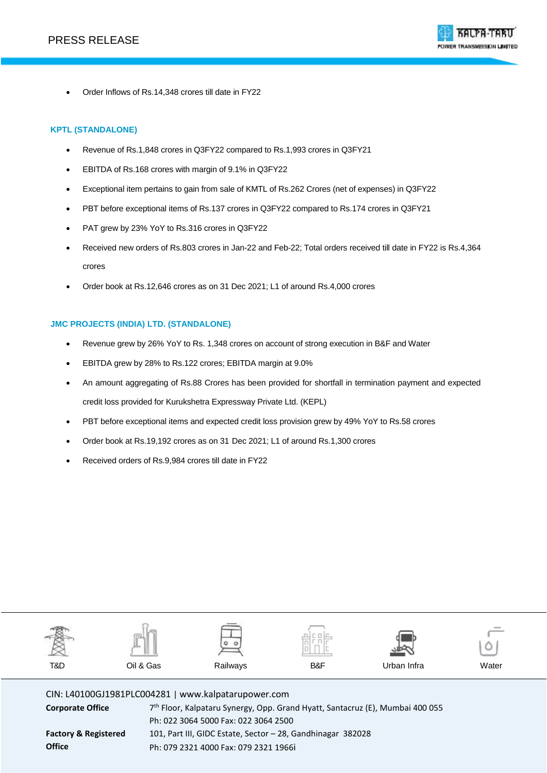

Order Inflows of Rs.14,348 crores till date in FY22

## **KPTL (STANDALONE)**

- Revenue of Rs.1,848 crores in Q3FY22 compared to Rs.1,993 crores in Q3FY21
- EBITDA of Rs.168 crores with margin of 9.1% in Q3FY22
- Exceptional item pertains to gain from sale of KMTL of Rs.262 Crores (net of expenses) in Q3FY22
- PBT before exceptional items of Rs.137 crores in Q3FY22 compared to Rs.174 crores in Q3FY21
- PAT grew by 23% YoY to Rs.316 crores in Q3FY22
- Received new orders of Rs.803 crores in Jan-22 and Feb-22; Total orders received till date in FY22 is Rs.4,364 crores
- Order book at Rs.12,646 crores as on 31 Dec 2021; L1 of around Rs.4,000 crores

### **JMC PROJECTS (INDIA) LTD. (STANDALONE)**

- Revenue grew by 26% YoY to Rs. 1,348 crores on account of strong execution in B&F and Water
- EBITDA grew by 28% to Rs.122 crores; EBITDA margin at 9.0%
- An amount aggregating of Rs.88 Crores has been provided for shortfall in termination payment and expected credit loss provided for Kurukshetra Expressway Private Ltd. (KEPL)
- PBT before exceptional items and expected credit loss provision grew by 49% YoY to Rs.58 crores
- Order book at Rs.19,192 crores as on 31 Dec 2021; L1 of around Rs.1,300 crores
- Received orders of Rs.9,984 crores till date in FY22



CIN: L40100GJ1981PLC004281 | www.kalpatarupower.com

**Corporate Office** 

**Factory & Registered Office**

7<sup>th</sup> Floor, Kalpataru Synergy, Opp. Grand Hyatt, Santacruz (E), Mumbai 400 055 Ph: 022 3064 5000 Fax: 022 3064 2500 101, Part III, GIDC Estate, Sector – 28, Gandhinagar 382028 Ph: 079 2321 4000 Fax: 079 2321 1966i